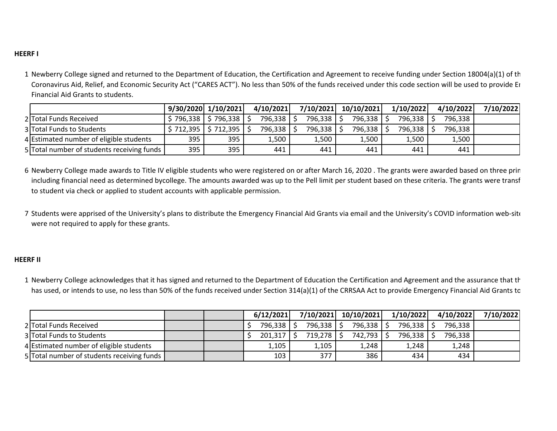## **HEERF I**

1 Newberry College signed and returned to the Department of Education, the Certification and Agreement to receive funding under Section 18004(a)(1) of th Coronavirus Aid, Relief, and Economic Security Act ("CARES ACT"). No less than 50% of the funds received under this code section will be used to provide Er Financial Aid Grants to students.

|                                            | $9/30/2020$ $1/10/2021$ |                           | 4/10/2021 | 7/10/2021  | 10/10/2021   | 1/10/2022 | 4/10/2022 | 7/10/2022 |
|--------------------------------------------|-------------------------|---------------------------|-----------|------------|--------------|-----------|-----------|-----------|
| 2 Total Funds Received                     |                         | $$796,338$ $$796,338$ $]$ | 796,338   | 796,338 \$ | 796,338   \$ | 796,338   | 796,338   |           |
| 3 Total Funds to Students                  |                         | $$712,395$ $$712,395$     | 796,338   | 796,338    | 796,338      | 796,338   | 796,338   |           |
| 4 Estimated number of eligible students    | 395                     | 395                       | 1,500     | 1,500      | 1,500        | 1,500     | 1,500     |           |
| 5 Total number of students receiving funds | 395                     | 395                       | 441       | 441        | 441          | 441       | 441       |           |

6 Newberry College made awards to Title IV eligible students who were registered on or after March 16, 2020 . The grants were awarded based on three prin including financial need as determined bycollege. The amounts awarded was up to the Pell limit per student based on these criteria. The grants were transf to student via check or applied to student accounts with applicable permission.

7 Students were apprised of the University's plans to distribute the Emergency Financial Aid Grants via email and the University's COVID information web-site were not required to apply for these grants.

## **HEERF II**

1 Newberry College acknowledges that it has signed and returned to the Department of Education the Certification and Agreement and the assurance that th has used, or intends to use, no less than 50% of the funds received under Section 314(a)(1) of the CRRSAA Act to provide Emergency Financial Aid Grants tc

|                                            |  | 6/12/2021 | 7/10/2021   | 10/10/2021     | 1/10/2022  | 4/10/2022 | 7/10/2022 |
|--------------------------------------------|--|-----------|-------------|----------------|------------|-----------|-----------|
| 2 Total Funds Received                     |  | 796,338   | $796,338$ . | $796,338$   \$ | 796,338 \$ | 796,338   |           |
| 3 Total Funds to Students                  |  | 201,317   | 719,278     | 742,793 \$     | 796,338    | 796,338   |           |
| 4 Estimated number of eligible students    |  | 1,105     | 1,105       | 1,248          | 1,248      | 1,248     |           |
| 5 Total number of students receiving funds |  | 103       | 377         | 386            | 434        | 434       |           |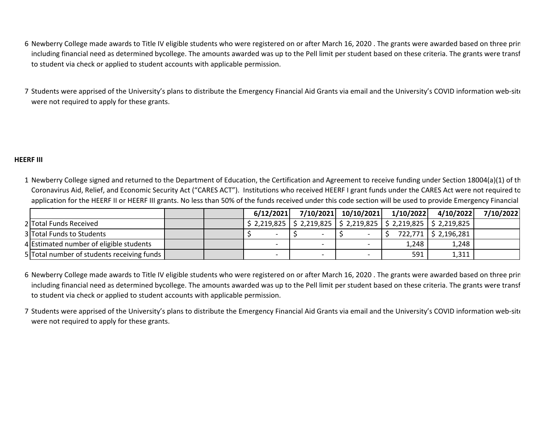- 6 Newberry College made awards to Title IV eligible students who were registered on or after March 16, 2020 . The grants were awarded based on three prin including financial need as determined bycollege. The amounts awarded was up to the Pell limit per student based on these criteria. The grants were transf to student via check or applied to student accounts with applicable permission.
- 7 Students were apprised of the University's plans to distribute the Emergency Financial Aid Grants via email and the University's COVID information web-site were not required to apply for these grants.

## **HEERF III**

1 Newberry College signed and returned to the Department of Education, the Certification and Agreement to receive funding under Section 18004(a)(1) of th Coronavirus Aid, Relief, and Economic Security Act ("CARES ACT"). Institutions who received HEERF I grant funds under the CARES Act were not required to application for the HEERF II or HEERF III grants. No less than 50% of the funds received under this code section will be used to provide Emergency Financial

|                                            |  | 6/12/2021                | 7/10/2021 10/10/2021 | 1/10/2022 | 4/10/2022                                                                                                                       | 7/10/2022 |
|--------------------------------------------|--|--------------------------|----------------------|-----------|---------------------------------------------------------------------------------------------------------------------------------|-----------|
| 2 Total Funds Received                     |  |                          |                      |           | $\frac{1}{2}$ 2,219,825   $\frac{1}{2}$ 2,219,825   $\frac{1}{2}$ 2,219,825   $\frac{1}{2}$ 2,219,825   $\frac{1}{2}$ 2,219,825 |           |
| 3 Total Funds to Students                  |  |                          |                      |           | 722,771   \$ 2,196,281                                                                                                          |           |
| 4 Estimated number of eligible students    |  | $\overline{\phantom{0}}$ |                      | 1.248     | 1,248                                                                                                                           |           |
| 5 Total number of students receiving funds |  | $\overline{\phantom{0}}$ |                      | 591       | 1,311                                                                                                                           |           |

- 6 Newberry College made awards to Title IV eligible students who were registered on or after March 16, 2020 . The grants were awarded based on three prin including financial need as determined bycollege. The amounts awarded was up to the Pell limit per student based on these criteria. The grants were transf to student via check or applied to student accounts with applicable permission.
- 7 Students were apprised of the University's plans to distribute the Emergency Financial Aid Grants via email and the University's COVID information web-site were not required to apply for these grants.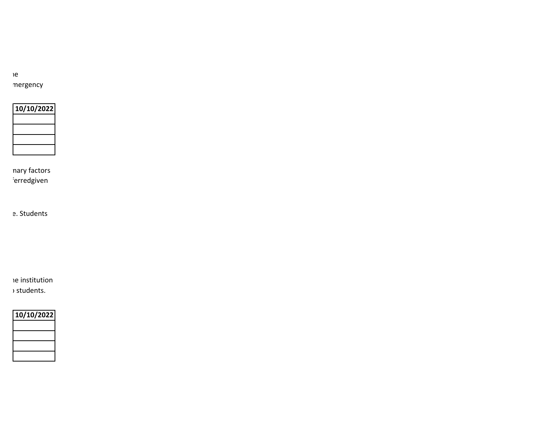newer mergency

**10/10/2022**

nary factors ierred given

e. Students

ne institution

bas tudents.

| 10/10/2022 |
|------------|
|            |
|            |
|            |
|            |